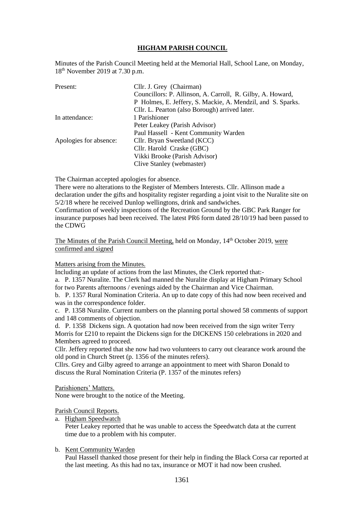# **HIGHAM PARISH COUNCIL**

Minutes of the Parish Council Meeting held at the Memorial Hall, School Lane, on Monday, 18th November 2019 at 7.30 p.m.

| Present:               | Cllr. J. Grey (Chairman)                                    |
|------------------------|-------------------------------------------------------------|
|                        | Councillors: P. Allinson, A. Carroll, R. Gilby, A. Howard,  |
|                        | P Holmes, E. Jeffery, S. Mackie, A. Mendzil, and S. Sparks. |
|                        | Cllr. L. Pearton (also Borough) arrived later.              |
| In attendance:         | 1 Parishioner                                               |
|                        | Peter Leakey (Parish Advisor)                               |
|                        | Paul Hassell - Kent Community Warden                        |
| Apologies for absence: | Cllr. Bryan Sweetland (KCC)                                 |
|                        | Cllr. Harold Craske (GBC)                                   |
|                        | Vikki Brooke (Parish Advisor)                               |
|                        | Clive Stanley (webmaster)                                   |

The Chairman accepted apologies for absence.

There were no alterations to the Register of Members Interests. Cllr. Allinson made a declaration under the gifts and hospitality register regarding a joint visit to the Nuralite site on 5/2/18 where he received Dunlop wellingtons, drink and sandwiches.

Confirmation of weekly inspections of the Recreation Ground by the GBC Park Ranger for insurance purposes had been received. The latest PR6 form dated 28/10/19 had been passed to the CDWG

The Minutes of the Parish Council Meeting, held on Monday, 14<sup>th</sup> October 2019, were confirmed and signed

## Matters arising from the Minutes.

Including an update of actions from the last Minutes, the Clerk reported that:-

a. P. 1357 Nuralite. The Clerk had manned the Nuralite display at Higham Primary School for two Parents afternoons / evenings aided by the Chairman and Vice Chairman. b. P. 1357 Rural Nomination Criteria. An up to date copy of this had now been received and

was in the correspondence folder.

c. P. 1358 Nuralite. Current numbers on the planning portal showed 58 comments of support and 148 comments of objection.

d. P. 1358 Dickens sign. A quotation had now been received from the sign writer Terry Morris for £210 to repaint the Dickens sign for the DICKENS 150 celebrations in 2020 and Members agreed to proceed.

Cllr. Jeffery reported that she now had two volunteers to carry out clearance work around the old pond in Church Street (p. 1356 of the minutes refers).

Cllrs. Grey and Gilby agreed to arrange an appointment to meet with Sharon Donald to discuss the Rural Nomination Criteria (P. 1357 of the minutes refers)

Parishioners' Matters.

None were brought to the notice of the Meeting.

#### Parish Council Reports.

a. Higham Speedwatch

 Peter Leakey reported that he was unable to access the Speedwatch data at the current time due to a problem with his computer.

## b. Kent Community Warden

 Paul Hassell thanked those present for their help in finding the Black Corsa car reported at the last meeting. As this had no tax, insurance or MOT it had now been crushed.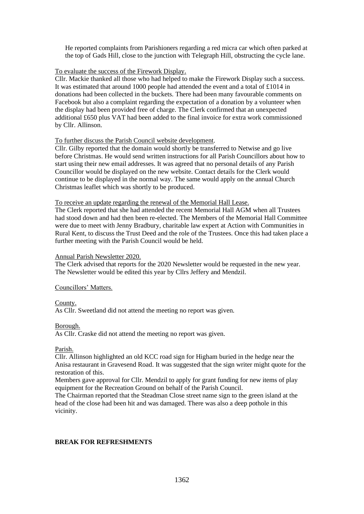He reported complaints from Parishioners regarding a red micra car which often parked at the top of Gads Hill, close to the junction with Telegraph Hill, obstructing the cycle lane.

## To evaluate the success of the Firework Display.

Cllr. Mackie thanked all those who had helped to make the Firework Display such a success. It was estimated that around 1000 people had attended the event and a total of £1014 in donations had been collected in the buckets. There had been many favourable comments on Facebook but also a complaint regarding the expectation of a donation by a volunteer when the display had been provided free of charge. The Clerk confirmed that an unexpected additional £650 plus VAT had been added to the final invoice for extra work commissioned by Cllr. Allinson.

# To further discuss the Parish Council website development.

Cllr. Gilby reported that the domain would shortly be transferred to Netwise and go live before Christmas. He would send written instructions for all Parish Councillors about how to start using their new email addresses. It was agreed that no personal details of any Parish Councillor would be displayed on the new website. Contact details for the Clerk would continue to be displayed in the normal way. The same would apply on the annual Church Christmas leaflet which was shortly to be produced.

## To receive an update regarding the renewal of the Memorial Hall Lease.

The Clerk reported that she had attended the recent Memorial Hall AGM when all Trustees had stood down and had then been re-elected. The Members of the Memorial Hall Committee were due to meet with Jenny Bradbury, charitable law expert at Action with Communities in Rural Kent, to discuss the Trust Deed and the role of the Trustees. Once this had taken place a further meeting with the Parish Council would be held.

## Annual Parish Newsletter 2020.

The Clerk advised that reports for the 2020 Newsletter would be requested in the new year. The Newsletter would be edited this year by Cllrs Jeffery and Mendzil.

## Councillors' Matters.

## County.

As Cllr. Sweetland did not attend the meeting no report was given.

## Borough.

As Cllr. Craske did not attend the meeting no report was given.

## Parish.

Cllr. Allinson highlighted an old KCC road sign for Higham buried in the hedge near the Anisa restaurant in Gravesend Road. It was suggested that the sign writer might quote for the restoration of this.

Members gave approval for Cllr. Mendzil to apply for grant funding for new items of play equipment for the Recreation Ground on behalf of the Parish Council.

The Chairman reported that the Steadman Close street name sign to the green island at the head of the close had been hit and was damaged. There was also a deep pothole in this vicinity.

## **BREAK FOR REFRESHMENTS**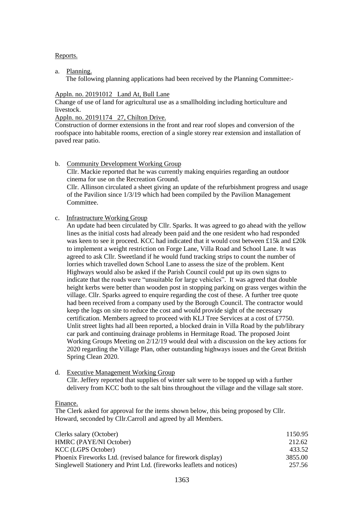## Reports.

a. Planning.

The following planning applications had been received by the Planning Committee:-

#### Appln. no. 20191012 Land At, Bull Lane

Change of use of land for agricultural use as a smallholding including horticulture and livestock.

## Appln. no. 20191174 27, Chilton Drive.

Construction of dormer extensions in the front and rear roof slopes and conversion of the roofspace into habitable rooms, erection of a single storey rear extension and installation of paved rear patio.

b. Community Development Working Group

 Cllr. Mackie reported that he was currently making enquiries regarding an outdoor cinema for use on the Recreation Ground.

 Cllr. Allinson circulated a sheet giving an update of the refurbishment progress and usage of the Pavilion since 1/3/19 which had been compiled by the Pavilion Management Committee.

## c. Infrastructure Working Group

 An update had been circulated by Cllr. Sparks. It was agreed to go ahead with the yellow lines as the initial costs had already been paid and the one resident who had responded was keen to see it proceed. KCC had indicated that it would cost between £15k and £20k to implement a weight restriction on Forge Lane, Villa Road and School Lane. It was agreed to ask Cllr. Sweetland if he would fund tracking strips to count the number of lorries which travelled down School Lane to assess the size of the problem. Kent Highways would also be asked if the Parish Council could put up its own signs to indicate that the roads were "unsuitable for large vehicles". It was agreed that double height kerbs were better than wooden post in stopping parking on grass verges within the village. Cllr. Sparks agreed to enquire regarding the cost of these. A further tree quote had been received from a company used by the Borough Council. The contractor would keep the logs on site to reduce the cost and would provide sight of the necessary certification. Members agreed to proceed with KLJ Tree Services at a cost of £7750. Unlit street lights had all been reported, a blocked drain in Villa Road by the pub/library car park and continuing drainage problems in Hermitage Road. The proposed Joint Working Groups Meeting on 2/12/19 would deal with a discussion on the key actions for 2020 regarding the Village Plan, other outstanding highways issues and the Great British Spring Clean 2020.

d. Executive Management Working Group

 Cllr. Jeffery reported that supplies of winter salt were to be topped up with a further delivery from KCC both to the salt bins throughout the village and the village salt store.

Finance.

The Clerk asked for approval for the items shown below, this being proposed by Cllr. Howard, seconded by Cllr.Carroll and agreed by all Members.

| Clerks salary (October)                                               | 1150.95 |
|-----------------------------------------------------------------------|---------|
| <b>HMRC</b> (PAYE/NI October)                                         | 212.62  |
| KCC (LGPS October)                                                    | 433.52  |
| Phoenix Fireworks Ltd. (revised balance for firework display)         | 3855.00 |
| Singlewell Stationery and Print Ltd. (fireworks leaflets and notices) | 257.56  |